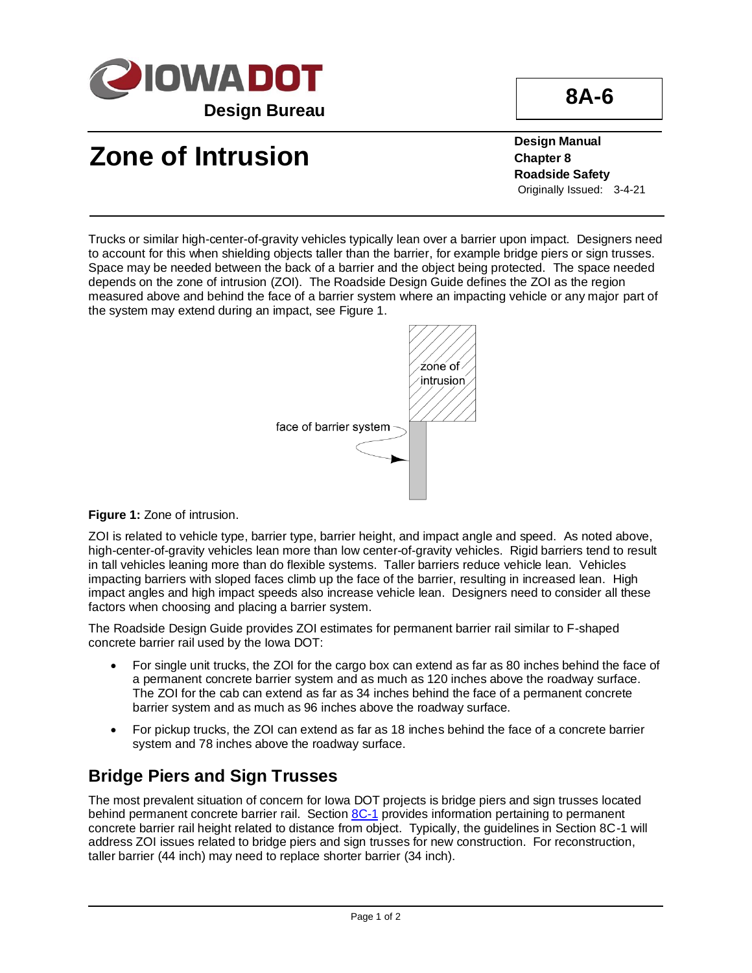

## **Zone of Intrusion**

**Design Manual Chapter 8 Roadside Safety** Originally Issued: 3-4-21

Trucks or similar high-center-of-gravity vehicles typically lean over a barrier upon impact. Designers need to account for this when shielding objects taller than the barrier, for example bridge piers or sign trusses. Space may be needed between the back of a barrier and the object being protected. The space needed depends on the zone of intrusion (ZOI). The Roadside Design Guide defines the ZOI as the region measured above and behind the face of a barrier system where an impacting vehicle or any major part of the system may extend during an impact, see Figure 1.



**Figure 1:** Zone of intrusion.

ZOI is related to vehicle type, barrier type, barrier height, and impact angle and speed. As noted above, high-center-of-gravity vehicles lean more than low center-of-gravity vehicles. Rigid barriers tend to result in tall vehicles leaning more than do flexible systems. Taller barriers reduce vehicle lean. Vehicles impacting barriers with sloped faces climb up the face of the barrier, resulting in increased lean. High impact angles and high impact speeds also increase vehicle lean. Designers need to consider all these factors when choosing and placing a barrier system.

The Roadside Design Guide provides ZOI estimates for permanent barrier rail similar to F-shaped concrete barrier rail used by the Iowa DOT:

- For single unit trucks, the ZOI for the cargo box can extend as far as 80 inches behind the face of a permanent concrete barrier system and as much as 120 inches above the roadway surface. The ZOI for the cab can extend as far as 34 inches behind the face of a permanent concrete barrier system and as much as 96 inches above the roadway surface.
- For pickup trucks, the ZOI can extend as far as 18 inches behind the face of a concrete barrier system and 78 inches above the roadway surface.

## **Bridge Piers and Sign Trusses**

The most prevalent situation of concern for Iowa DOT projects is bridge piers and sign trusses located behind permanent concrete barrier rail. Section [8C-1](08c-01.pdf) provides information pertaining to permanent concrete barrier rail height related to distance from object. Typically, the guidelines in Section 8C-1 will address ZOI issues related to bridge piers and sign trusses for new construction. For reconstruction, taller barrier (44 inch) may need to replace shorter barrier (34 inch).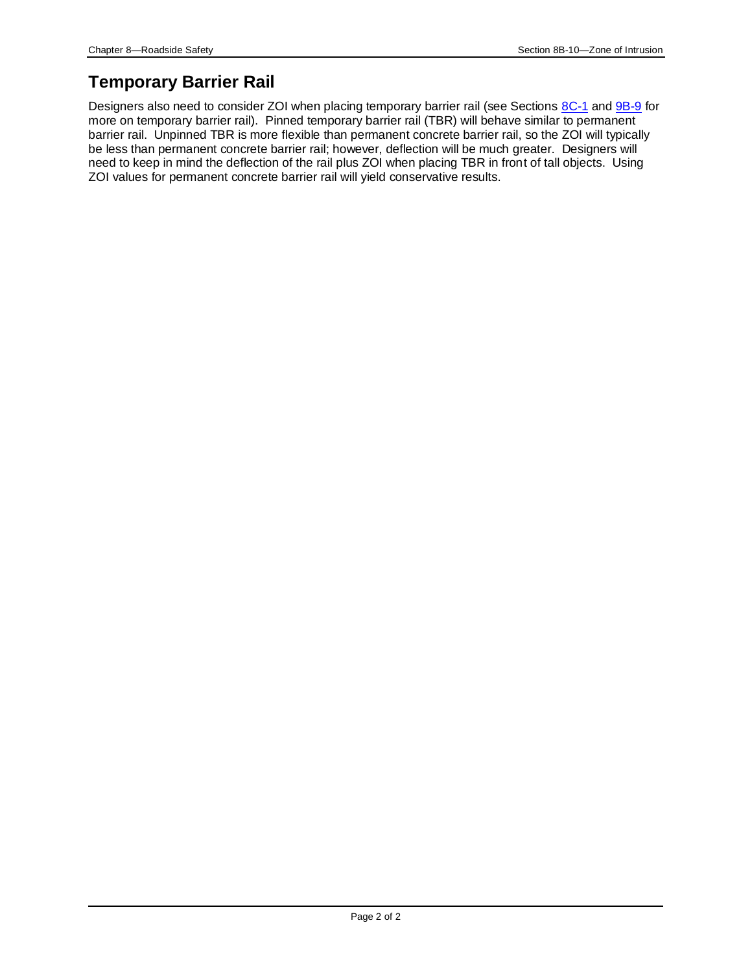## **Temporary Barrier Rail**

Designers also need to consider ZOI when placing temporary barrier rail (see Sections [8C-1](08c-01.pdf) and [9B-9](09b-09.pdf) for more on temporary barrier rail). Pinned temporary barrier rail (TBR) will behave similar to permanent barrier rail. Unpinned TBR is more flexible than permanent concrete barrier rail, so the ZOI will typically be less than permanent concrete barrier rail; however, deflection will be much greater. Designers will need to keep in mind the deflection of the rail plus ZOI when placing TBR in front of tall objects. Using ZOI values for permanent concrete barrier rail will yield conservative results.